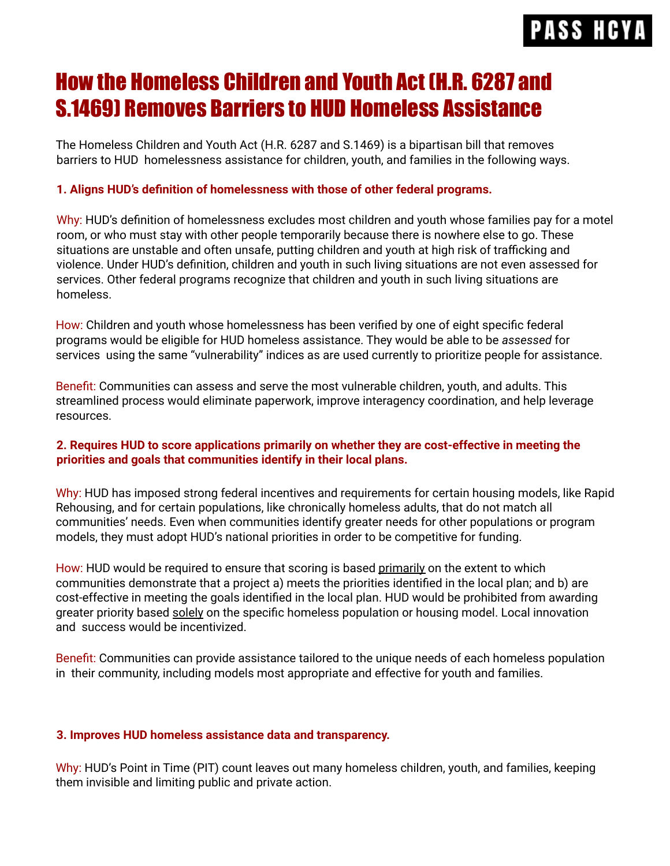# **PASS HCY**

## How the Homeless Children and Youth Act (H.R. 6287 and S.1469) Removes Barriers to HUD Homeless Assistance

The Homeless Children and Youth Act (H.R. 6287 and S.1469) is a bipartisan bill that removes barriers to HUD homelessness assistance for children, youth, and families in the following ways.

### **1. Aligns HUD's definition of homelessness with those of other federal programs.**

Why: HUD's definition of homelessness excludes most children and youth whose families pay for a motel room, or who must stay with other people temporarily because there is nowhere else to go. These situations are unstable and often unsafe, putting children and youth at high risk of trafficking and violence. Under HUD's definition, children and youth in such living situations are not even assessed for services. Other federal programs recognize that children and youth in such living situations are homeless.

How: Children and youth whose homelessness has been verified by one of eight specific federal programs would be eligible for HUD homeless assistance. They would be able to be *assessed* for services using the same "vulnerability" indices as are used currently to prioritize people for assistance.

Benefit: Communities can assess and serve the most vulnerable children, youth, and adults. This streamlined process would eliminate paperwork, improve interagency coordination, and help leverage resources.

### **2. Requires HUD to score applications primarily on whether they are cost-effective in meeting the priorities and goals that communities identify in their local plans.**

Why: HUD has imposed strong federal incentives and requirements for certain housing models, like Rapid Rehousing, and for certain populations, like chronically homeless adults, that do not match all communities' needs. Even when communities identify greater needs for other populations or program models, they must adopt HUD's national priorities in order to be competitive for funding.

How: HUD would be required to ensure that scoring is based primarily on the extent to which communities demonstrate that a project a) meets the priorities identified in the local plan; and b) are cost-effective in meeting the goals identified in the local plan. HUD would be prohibited from awarding greater priority based solely on the specific homeless population or housing model. Local innovation and success would be incentivized.

Benefit: Communities can provide assistance tailored to the unique needs of each homeless population in their community, including models most appropriate and effective for youth and families.

### **3. Improves HUD homeless assistance data and transparency.**

Why: HUD's Point in Time (PIT) count leaves out many homeless children, youth, and families, keeping them invisible and limiting public and private action.